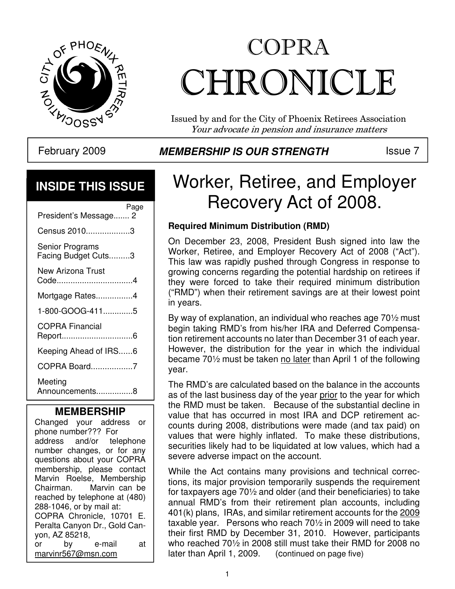

# COPRA CHRONICLE

Issued by and for the City of Phoenix Retirees Association Your advocate in pension and insurance matters

### **INSIDE THIS ISSUE**

| President's Message 2                  | Page |
|----------------------------------------|------|
| Census 20103                           |      |
| Senior Programs<br>Facing Budget Cuts3 |      |
| New Arizona Trust<br>Code4             |      |
| Mortgage Rates4                        |      |
| 1-800-GOOG-4115                        |      |
| <b>COPRA Financial</b><br>Report6      |      |
| Keeping Ahead of IRS6                  |      |
| COPRA Board7                           |      |
| Meeting<br>Announcements8              |      |

#### **MEMBERSHIP**

Changed your address or phone number??? For address and/or telephone number changes, or for any questions about your COPRA membership, please contact Marvin Roelse, Membership<br>Chairman. Marvin can be Marvin can be reached by telephone at (480) 288-1046, or by mail at: COPRA Chronicle, 10701 E. Peralta Canyon Dr., Gold Canyon, AZ 85218, or by e-mail at marvinr567@msn.com

#### February 2009 **MEMBERSHIP IS OUR STRENGTH** ISSue 7

### Worker, Retiree, and Employer Recovery Act of 2008.

#### **Required Minimum Distribution (RMD)**

On December 23, 2008, President Bush signed into law the Worker, Retiree, and Employer Recovery Act of 2008 ("Act"). This law was rapidly pushed through Congress in response to growing concerns regarding the potential hardship on retirees if they were forced to take their required minimum distribution ("RMD") when their retirement savings are at their lowest point in years.

By way of explanation, an individual who reaches age 70½ must begin taking RMD's from his/her IRA and Deferred Compensation retirement accounts no later than December 31 of each year. However, the distribution for the year in which the individual became 70½ must be taken no later than April 1 of the following year.

as of the last business day of the year <u>prior</u> to the year for which The RMD's are calculated based on the balance in the accounts the RMD must be taken. Because of the substantial decline in value that has occurred in most IRA and DCP retirement accounts during 2008, distributions were made (and tax paid) on values that were highly inflated. To make these distributions, securities likely had to be liquidated at low values, which had a severe adverse impact on the account.

While the Act contains many provisions and technical corrections, its major provision temporarily suspends the requirement for taxpayers age 70½ and older (and their beneficiaries) to take annual RMD's from their retirement plan accounts, including 401(k) plans, IRAs, and similar retirement accounts for the 2009 taxable year. Persons who reach 70½ in 2009 will need to take their first RMD by December 31, 2010. However, participants who reached 70½ in 2008 still must take their RMD for 2008 no later than April 1, 2009. (continued on page five)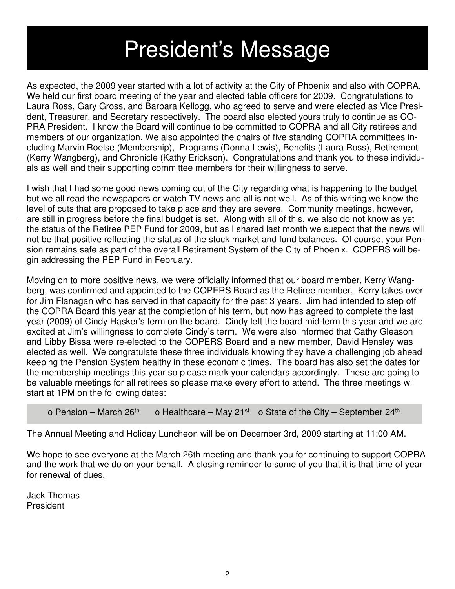## President's Message

As expected, the 2009 year started with a lot of activity at the City of Phoenix and also with COPRA. We held our first board meeting of the year and elected table officers for 2009. Congratulations to Laura Ross, Gary Gross, and Barbara Kellogg, who agreed to serve and were elected as Vice President, Treasurer, and Secretary respectively. The board also elected yours truly to continue as CO-PRA President. I know the Board will continue to be committed to COPRA and all City retirees and members of our organization. We also appointed the chairs of five standing COPRA committees including Marvin Roelse (Membership), Programs (Donna Lewis), Benefits (Laura Ross), Retirement (Kerry Wangberg), and Chronicle (Kathy Erickson). Congratulations and thank you to these individuals as well and their supporting committee members for their willingness to serve.

I wish that I had some good news coming out of the City regarding what is happening to the budget but we all read the newspapers or watch TV news and all is not well. As of this writing we know the level of cuts that are proposed to take place and they are severe. Community meetings, however, are still in progress before the final budget is set. Along with all of this, we also do not know as yet the status of the Retiree PEP Fund for 2009, but as I shared last month we suspect that the news will not be that positive reflecting the status of the stock market and fund balances. Of course, your Pension remains safe as part of the overall Retirement System of the City of Phoenix. COPERS will begin addressing the PEP Fund in February.

Moving on to more positive news, we were officially informed that our board member, Kerry Wangberg, was confirmed and appointed to the COPERS Board as the Retiree member, Kerry takes over for Jim Flanagan who has served in that capacity for the past 3 years. Jim had intended to step off the COPRA Board this year at the completion of his term, but now has agreed to complete the last year (2009) of Cindy Hasker's term on the board. Cindy left the board mid-term this year and we are excited at Jim's willingness to complete Cindy's term. We were also informed that Cathy Gleason and Libby Bissa were re-elected to the COPERS Board and a new member, David Hensley was elected as well. We congratulate these three individuals knowing they have a challenging job ahead keeping the Pension System healthy in these economic times. The board has also set the dates for the membership meetings this year so please mark your calendars accordingly. These are going to be valuable meetings for all retirees so please make every effort to attend. The three meetings will start at 1PM on the following dates:

o Pension – March 26<sup>th</sup> o Healthcare – May 21<sup>st</sup> o State of the City – September 24<sup>th</sup>

The Annual Meeting and Holiday Luncheon will be on December 3rd, 2009 starting at 11:00 AM.

We hope to see everyone at the March 26th meeting and thank you for continuing to support COPRA and the work that we do on your behalf. A closing reminder to some of you that it is that time of year for renewal of dues.

Jack Thomas President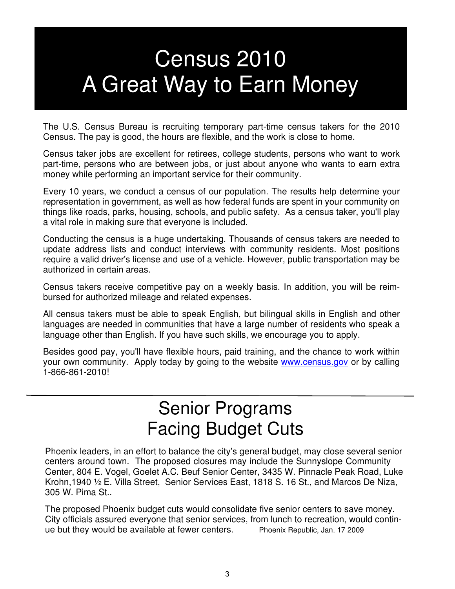## Census 2010 A Great Way to Earn Money

The U.S. Census Bureau is recruiting temporary part-time census takers for the 2010 Census. The pay is good, the hours are flexible, and the work is close to home.

Census taker jobs are excellent for retirees, college students, persons who want to work part-time, persons who are between jobs, or just about anyone who wants to earn extra money while performing an important service for their community.

Every 10 years, we conduct a census of our population. The results help determine your representation in government, as well as how federal funds are spent in your community on things like roads, parks, housing, schools, and public safety. As a census taker, you'll play a vital role in making sure that everyone is included.

Conducting the census is a huge undertaking. Thousands of census takers are needed to update address lists and conduct interviews with community residents. Most positions require a valid driver's license and use of a vehicle. However, public transportation may be authorized in certain areas.

Census takers receive competitive pay on a weekly basis. In addition, you will be reimbursed for authorized mileage and related expenses.

All census takers must be able to speak English, but bilingual skills in English and other languages are needed in communities that have a large number of residents who speak a language other than English. If you have such skills, we encourage you to apply.

Besides good pay, you'll have flexible hours, paid training, and the chance to work within your own community. Apply today by going to the website www.census.gov or by calling 1-866-861-2010!

### Senior Programs Facing Budget Cuts

 Krohn,1940 ½ E. Villa Street, Senior Services East, 1818 S. 16 St., and Marcos De Niza, Phoenix leaders, in an effort to balance the city's general budget, may close several senior centers around town. The proposed closures may include the Sunnyslope Community Center, 804 E. Vogel, Goelet A.C. Beuf Senior Center, 3435 W. Pinnacle Peak Road, Luke 305 W. Pima St..

The proposed Phoenix budget cuts would consolidate five senior centers to save money. City officials assured everyone that senior services, from lunch to recreation, would continue but they would be available at fewer centers. Phoenix Republic, Jan. 17 2009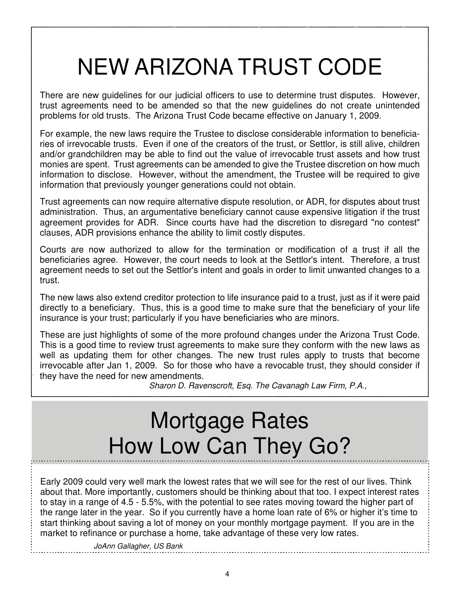## NEW ARIZONA TRUST CODE

There are new guidelines for our judicial officers to use to determine trust disputes. However, trust agreements need to be amended so that the new guidelines do not create unintended problems for old trusts. The Arizona Trust Code became effective on January 1, 2009.

For example, the new laws require the Trustee to disclose considerable information to beneficiaries of irrevocable trusts. Even if one of the creators of the trust, or Settlor, is still alive, children and/or grandchildren may be able to find out the value of irrevocable trust assets and how trust monies are spent. Trust agreements can be amended to give the Trustee discretion on how much information to disclose. However, without the amendment, the Trustee will be required to give information that previously younger generations could not obtain.

Trust agreements can now require alternative dispute resolution, or ADR, for disputes about trust administration. Thus, an argumentative beneficiary cannot cause expensive litigation if the trust agreement provides for ADR. Since courts have had the discretion to disregard "no contest" clauses, ADR provisions enhance the ability to limit costly disputes.

Courts are now authorized to allow for the termination or modification of a trust if all the beneficiaries agree. However, the court needs to look at the Settlor's intent. Therefore, a trust agreement needs to set out the Settlor's intent and goals in order to limit unwanted changes to a trust.

The new laws also extend creditor protection to life insurance paid to a trust, just as if it were paid directly to a beneficiary. Thus, this is a good time to make sure that the beneficiary of your life insurance is your trust; particularly if you have beneficiaries who are minors.

These are just highlights of some of the more profound changes under the Arizona Trust Code. This is a good time to review trust agreements to make sure they conform with the new laws as well as updating them for other changes. The new trust rules apply to trusts that become irrevocable after Jan 1, 2009. So for those who have a revocable trust, they should consider if they have the need for new amendments.

Sharon D. Ravenscroft, Esq. The Cavanagh Law Firm, P.A.,

## Mortgage Rates How Low Can They Go?

Early 2009 could very well mark the lowest rates that we will see for the rest of our lives. Think about that. More importantly, customers should be thinking about that too. I expect interest rates to stay in a range of 4.5 - 5.5%, with the potential to see rates moving toward the higher part of the range later in the year. So if you currently have a home loan rate of 6% or higher it's time to start thinking about saving a lot of money on your monthly mortgage payment. If you are in the market to refinance or purchase a home, take advantage of these very low rates.

JoAnn Gallagher, US Bank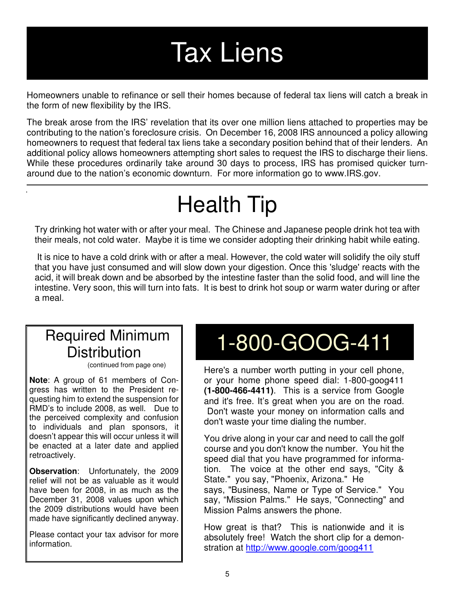# Tax Liens

Homeowners unable to refinance or sell their homes because of federal tax liens will catch a break in the form of new flexibility by the IRS.

The break arose from the IRS' revelation that its over one million liens attached to properties may be contributing to the nation's foreclosure crisis. On December 16, 2008 IRS announced a policy allowing homeowners to request that federal tax liens take a secondary position behind that of their lenders. An additional policy allows homeowners attempting short sales to request the IRS to discharge their liens. While these procedures ordinarily take around 30 days to process, IRS has promised quicker turnaround due to the nation's economic downturn. For more information go to www.IRS.gov.

## Health Tip

Try drinking hot water with or after your meal. The Chinese and Japanese people drink hot tea with their meals, not cold water. Maybe it is time we consider adopting their drinking habit while eating.

 It is nice to have a cold drink with or after a meal. However, the cold water will solidify the oily stuff that you have just consumed and will slow down your digestion. Once this 'sludge' reacts with the acid, it will break down and be absorbed by the intestine faster than the solid food, and will line the intestine. Very soon, this will turn into fats. It is best to drink hot soup or warm water during or after a meal.

### Required Minimum **Distribution**

(continued from page one)

**Note**: A group of 61 members of Congress has written to the President requesting him to extend the suspension for RMD's to include 2008, as well. Due to the perceived complexity and confusion to individuals and plan sponsors, it doesn't appear this will occur unless it will be enacted at a later date and applied retroactively.

**Observation**: Unfortunately, the 2009 relief will not be as valuable as it would have been for 2008, in as much as the December 31, 2008 values upon which the 2009 distributions would have been made have significantly declined anyway.

Please contact your tax advisor for more information.

## 1-800-GOOG-411

Here's a number worth putting in your cell phone, or your home phone speed dial: 1-800-goog411 **(1-800-466-4411)**. This is a service from Google and it's free. It's great when you are on the road. Don't waste your money on information calls and don't waste your time dialing the number.

You drive along in your car and need to call the golf course and you don't know the number. You hit the speed dial that you have programmed for information. The voice at the other end says, "City & State." you say, "Phoenix, Arizona." He says, "Business, Name or Type of Service." You say, "Mission Palms." He says, "Connecting" and Mission Palms answers the phone.

How great is that? This is nationwide and it is absolutely free! Watch the short clip for a demonstration at http://www.google.com/goog411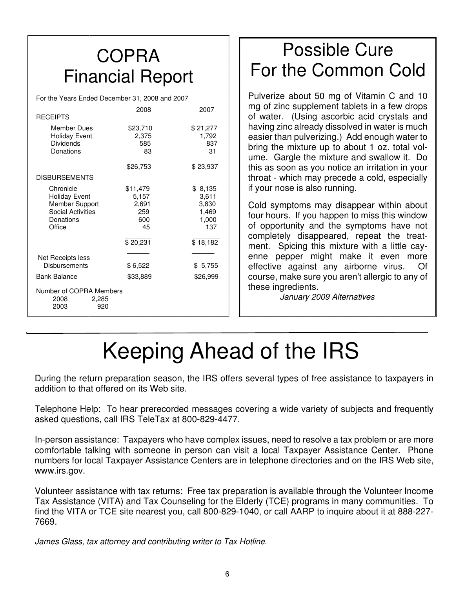### **COPRA** Financial Report

For the Years Ended December 31, 2008 and 2007

|                          | 2008     | 2007     |
|--------------------------|----------|----------|
| <b>RECEIPTS</b>          |          |          |
| <b>Member Dues</b>       | \$23,710 | \$21,277 |
| <b>Holiday Event</b>     | 2,375    | 1,792    |
| <b>Dividends</b>         | 585      | 837      |
| Donations                | 83       | 31       |
|                          | \$26,753 | \$23,937 |
| <b>DISBURSEMENTS</b>     |          |          |
| Chronicle                | \$11,479 | \$8,135  |
| <b>Holiday Event</b>     | 5,157    | 3,611    |
| Member Support           | 2,691    | 3,830    |
| <b>Social Activities</b> | 259      | 1,469    |
| Donations                | 600      | 1,000    |
| Office                   | 45       | 137      |
|                          | \$20,231 | \$18,182 |
| Net Receipts less        |          |          |
| Disbursements            | \$6,522  | \$5,755  |
|                          |          |          |
| <b>Bank Balance</b>      | \$33,889 | \$26,999 |
| Number of COPRA Members  |          |          |
| 2008<br>2,285            |          |          |
| 2003<br>920              |          |          |
|                          |          |          |

### Possible Cure For the Common Cold

Pulverize about 50 mg of Vitamin C and 10 mg of zinc supplement tablets in a few drops of water. (Using ascorbic acid crystals and having zinc already dissolved in water is much easier than pulverizing.) Add enough water to bring the mixture up to about 1 oz. total volume. Gargle the mixture and swallow it. Do this as soon as you notice an irritation in your throat - which may precede a cold, especially if your nose is also running.

Cold symptoms may disappear within about four hours. If you happen to miss this window of opportunity and the symptoms have not completely disappeared, repeat the treatment. Spicing this mixture with a little cayenne pepper might make it even more effective against any airborne virus. Of course, make sure you aren't allergic to any of these ingredients.

January 2009 Alternatives

## Keeping Ahead of the IRS

During the return preparation season, the IRS offers several types of free assistance to taxpayers in addition to that offered on its Web site.

Telephone Help: To hear prerecorded messages covering a wide variety of subjects and frequently asked questions, call IRS TeleTax at 800-829-4477.

In-person assistance: Taxpayers who have complex issues, need to resolve a tax problem or are more comfortable talking with someone in person can visit a local Taxpayer Assistance Center. Phone numbers for local Taxpayer Assistance Centers are in telephone directories and on the IRS Web site, www.irs.gov.

Volunteer assistance with tax returns: Free tax preparation is available through the Volunteer Income Tax Assistance (VITA) and Tax Counseling for the Elderly (TCE) programs in many communities. To find the VITA or TCE site nearest you, call 800-829-1040, or call AARP to inquire about it at 888-227- 7669.

James Glass, tax attorney and contributing writer to Tax Hotline.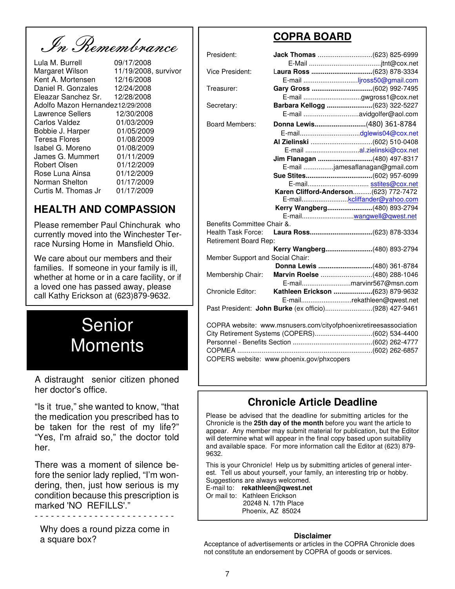In Remembrance

| Lula M. Burrell                  | 09/17/2008           |
|----------------------------------|----------------------|
| Margaret Wilson                  | 11/19/2008, survivor |
| Kent A. Mortensen                | 12/16/2008           |
| Daniel R. Gonzales               | 12/24/2008           |
| Eleazar Sanchez Sr.              | 12/28/2008           |
| Adolfo Mazon Hernandez12/29/2008 |                      |
| Lawrence Sellers                 | 12/30/2008           |
| Carlos Valdez                    | 01/03/2009           |
| Bobbie J. Harper                 | 01/05/2009           |
| <b>Teresa Flores</b>             | 01/08/2009           |
| Isabel G. Moreno                 | 01/08/2009           |
| James G. Mummert                 | 01/11/2009           |
| Robert Olsen                     | 01/12/2009           |
| Rose Luna Ainsa                  | 01/12/2009           |
| Norman Shelton                   | 01/17/2009           |
| Curtis M. Thomas Jr              | 01/17/2009           |
|                                  |                      |

#### **HEALTH AND COMPASSION**

Please remember Paul Chinchurak who currently moved into the Winchester Terrace Nursing Home in Mansfield Ohio.

We care about our members and their families. If someone in your family is ill, whether at home or in a care facility, or if a loved one has passed away, please call Kathy Erickson at (623)879-9632.



A distraught senior citizen phoned her doctor's office.

"Is it true," she wanted to know, "that the medication you prescribed has to be taken for the rest of my life?" "Yes, I'm afraid so," the doctor told her.

There was a moment of silence before the senior lady replied, "I'm wondering, then, just how serious is my condition because this prescription is marked 'NO REFILLS'."

- - - - - - - - - - - - - - - - - - - - - - - - - -

 Why does a round pizza come in a square box?

#### **COPRA BOARD**

| President:                       |                                                                  |
|----------------------------------|------------------------------------------------------------------|
|                                  |                                                                  |
| Vice President:                  |                                                                  |
|                                  |                                                                  |
| Treasurer:                       | Gary Gross (602) 992-7495                                        |
|                                  | E-mail gwgross1@cox.net                                          |
| Secretary:                       | Barbara Kellogg (623) 322-5227                                   |
|                                  |                                                                  |
| <b>Board Members:</b>            | Donna Lewis(480) 361-8784                                        |
|                                  |                                                                  |
|                                  |                                                                  |
|                                  |                                                                  |
|                                  | Jim Flanagan (480) 497-8317                                      |
|                                  | E-mail jamesaflanagan@gmail.com                                  |
|                                  |                                                                  |
|                                  | E-mail sstites@cox.net                                           |
|                                  | Karen Clifford-Anderson (623) 772-7472                           |
|                                  | E-mailkcliffander@yahoo.com                                      |
|                                  | Kerry Wangberg(480) 893-2794                                     |
|                                  |                                                                  |
| Benefits Committee Chair &.      |                                                                  |
| Health Task Force:               |                                                                  |
| Retirement Board Rep:            |                                                                  |
|                                  | Kerry Wangberg(480) 893-2794                                     |
| Member Support and Social Chair: |                                                                  |
|                                  | Donna Lewis (480) 361-8784                                       |
| Membership Chair:                | Marvin Roelse (480) 288-1046                                     |
|                                  | E-mailmarvinr567@msn.com                                         |
| Chronicle Editor:                | Kathleen Erickson (623) 879-9632                                 |
|                                  | E-mailrekathleen@qwest.net                                       |
|                                  | Past President: John Burke (ex officio)(928) 427-9461            |
|                                  | COPRA website: www.msnusers.com/cityofphoenixretireesassociation |
|                                  |                                                                  |

| COPRA website: www.msnusers.com/cityofphoenixretireesassociation |  |
|------------------------------------------------------------------|--|
|                                                                  |  |
|                                                                  |  |
|                                                                  |  |
| COPERS website: www.phoenix.gov/phxcopers                        |  |

#### **Chronicle Article Deadline**

Please be advised that the deadline for submitting articles for the Chronicle is the **25th day of the month** before you want the article to appear. Any member may submit material for publication, but the Editor will determine what will appear in the final copy based upon suitability and available space. For more information call the Editor at (623) 879- 9632.

This is your Chronicle! Help us by submitting articles of general interest. Tell us about yourself, your family, an interesting trip or hobby. Suggestions are always welcomed.

E-mail to: **rekathleen@qwest.net**

Or mail to: Kathleen Erickson 20248 N. 17th Place Phoenix, AZ 85024

#### **Disclaimer**

Acceptance of advertisements or articles in the COPRA Chronicle does not constitute an endorsement by COPRA of goods or services.